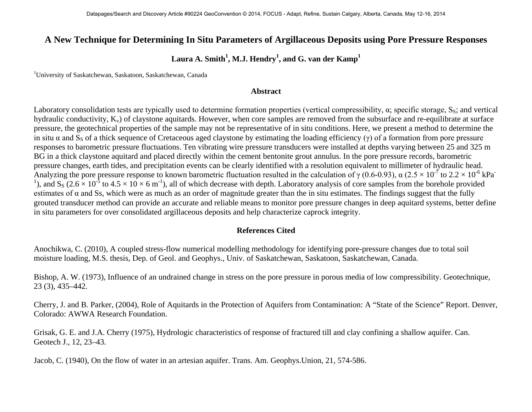## **A New Technique for Determining In Situ Parameters of Argillaceous Deposits using Pore Pressure Responses**

## $\rm{Laura~A.~Smith}^1, M.J.~Hendry^1, and~G.~van~der~Kamp^1$

1 University of Saskatchewan, Saskatoon, Saskatchewan, Canada

## **Abstract**

Laboratory consolidation tests are typically used to determine formation properties (vertical compressibility,  $\alpha$ ; specific storage, S<sub>S</sub>; and vertical hydraulic conductivity,  $K_v$ ) of claystone aquitards. However, when core samples are removed from the subsurface and re-equilibrate at surface pressure, the geotechnical properties of the sample may not be representative of in situ conditions. Here, we present a method to determine the in situ  $\alpha$  and S<sub>S</sub> of a thick sequence of Cretaceous aged claystone by estimating the loading efficiency (γ) of a formation from pore pressure responses to barometric pressure fluctuations. Ten vibrating wire pressure transducers were installed at depths varying between 25 and 325 m BG in a thick claystone aquitard and placed directly within the cement bentonite grout annulus. In the pore pressure records, barometric pressure changes, earth tides, and precipitation events can be clearly identified with a resolution equivalent to millimeter of hydraulic head. Analyzing the pore pressure response to known barometric fluctuation resulted in the calculation of  $\gamma$  (0.6-0.93),  $\alpha$  (2.5  $\times$  10<sup>-7</sup> to 2.2  $\times$  10<sup>-6</sup> kPa<sup>-</sup> <sup>1</sup>), and S<sub>S</sub> (2.6 × 10<sup>-5</sup> to 4.5 × 10 × 6 m<sup>-1</sup>), all of which decrease with depth. Laboratory analysis of core samples from the borehole provided estimates of  $\alpha$  and Ss, which were as much as an order of magnitude greater than the in situ estimates. The findings suggest that the fully grouted transducer method can provide an accurate and reliable means to monitor pore pressure changes in deep aquitard systems, better define in situ parameters for over consolidated argillaceous deposits and help characterize caprock integrity.

## **References Cited**

Anochikwa, C. (2010), A coupled stress-flow numerical modelling methodology for identifying pore-pressure changes due to total soil moisture loading, M.S. thesis, Dep. of Geol. and Geophys., Univ. of Saskatchewan, Saskatoon, Saskatchewan, Canada.

Bishop, A. W. (1973), Influence of an undrained change in stress on the pore pressure in porous media of low compressibility. Geotechnique, 23 (3), 435–442.

Cherry, J. and B. Parker, (2004), Role of Aquitards in the Protection of Aquifers from Contamination: A "State of the Science" Report. Denver, Colorado: AWWA Research Foundation.

Grisak, G. E. and J.A. Cherry (1975), Hydrologic characteristics of response of fractured till and clay confining a shallow aquifer. Can. Geotech J., 12, 23–43.

Jacob, C. (1940), On the flow of water in an artesian aquifer. Trans. Am. Geophys.Union, 21, 574-586.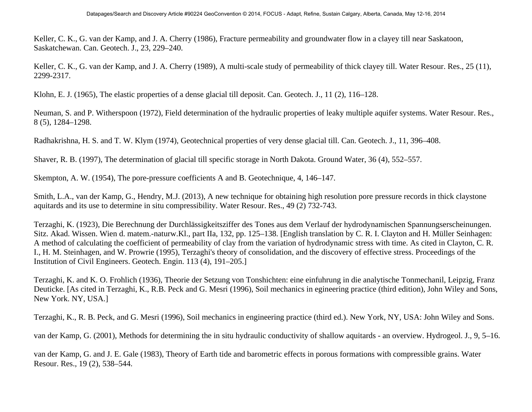Keller, C. K., G. van der Kamp, and J. A. Cherry (1986), Fracture permeability and groundwater flow in a clayey till near Saskatoon, Saskatchewan. Can. Geotech. J., 23, 229–240.

Keller, C. K., G. van der Kamp, and J. A. Cherry (1989), A multi-scale study of permeability of thick clayey till. Water Resour. Res., 25 (11), 2299-2317.

Klohn, E. J. (1965), The elastic properties of a dense glacial till deposit. Can. Geotech. J., 11 (2), 116–128.

Neuman, S. and P. Witherspoon (1972), Field determination of the hydraulic properties of leaky multiple aquifer systems. Water Resour. Res., 8 (5), 1284–1298.

Radhakrishna, H. S. and T. W. Klym (1974), Geotechnical properties of very dense glacial till. Can. Geotech. J., 11, 396–408.

Shaver, R. B. (1997), The determination of glacial till specific storage in North Dakota. Ground Water, 36 (4), 552–557.

Skempton, A. W. (1954), The pore-pressure coefficients A and B. Geotechnique, 4, 146–147.

Smith, L.A., van der Kamp, G., Hendry, M.J. (2013), A new technique for obtaining high resolution pore pressure records in thick claystone aquitards and its use to determine in situ compressibility. Water Resour. Res., 49 (2) 732-743.

Terzaghi, K. (1923), Die Berechnung der Durchlässigkeitsziffer des Tones aus dem Verlauf der hydrodynamischen Spannungserscheinungen. Sitz. Akad. Wissen. Wien d. matem.-naturw.Kl., part IIa, 132, pp. 125–138. [English translation by C. R. I. Clayton and H. Müller Seinhagen: A method of calculating the coefficient of permeability of clay from the variation of hydrodynamic stress with time. As cited in Clayton, C. R. I., H. M. Steinhagen, and W. Prowrie (1995), Terzaghi's theory of consolidation, and the discovery of effective stress. Proceedings of the Institution of Civil Engineers. Geotech. Engin. 113 (4), 191–205.]

Terzaghi, K. and K. O. Frohlich (1936), Theorie der Setzung von Tonshichten: eine einfuhrung in die analytische Tonmechanil, Leipzig, Franz Deuticke. [As cited in Terzaghi, K., R.B. Peck and G. Mesri (1996), Soil mechanics in egineering practice (third edition), John Wiley and Sons, New York. NY, USA.]

Terzaghi, K., R. B. Peck, and G. Mesri (1996), Soil mechanics in engineering practice (third ed.). New York, NY, USA: John Wiley and Sons.

van der Kamp, G. (2001), Methods for determining the in situ hydraulic conductivity of shallow aquitards - an overview. Hydrogeol. J., 9, 5–16.

van der Kamp, G. and J. E. Gale (1983), Theory of Earth tide and barometric effects in porous formations with compressible grains. Water Resour. Res., 19 (2), 538–544.